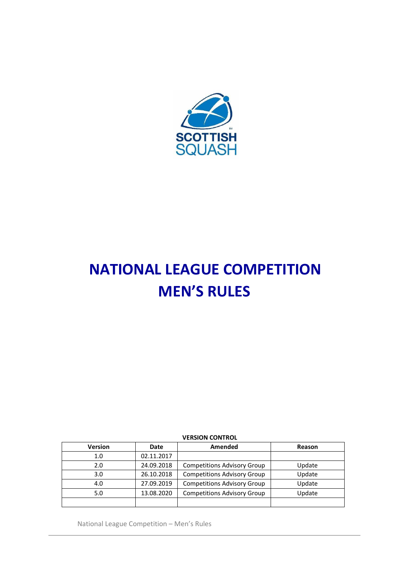

# **NATIONAL LEAGUE COMPETITION MEN'S RULES**

## **VERSION CONTROL**

| <b>Version</b> | <b>Date</b> | Amended                            | Reason |
|----------------|-------------|------------------------------------|--------|
| 1.0            | 02.11.2017  |                                    |        |
| 2.0            | 24.09.2018  | <b>Competitions Advisory Group</b> | Update |
| 3.0            | 26.10.2018  | <b>Competitions Advisory Group</b> | Update |
| 4.0            | 27.09.2019  | <b>Competitions Advisory Group</b> | Update |
| 5.0            | 13.08.2020  | <b>Competitions Advisory Group</b> | Update |
|                |             |                                    |        |

National League Competition – Men's Rules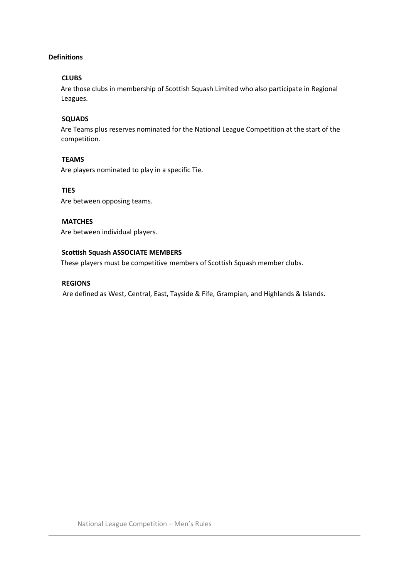# **Definitions**

#### **CLUBS**

Are those clubs in membership of Scottish Squash Limited who also participate in Regional Leagues.

# **SQUADS**

Are Teams plus reserves nominated for the National League Competition at the start of the competition.

## **TEAMS**

Are players nominated to play in a specific Tie.

#### **TIES**

Are between opposing teams.

## **MATCHES**

Are between individual players.

# **Scottish Squash ASSOCIATE MEMBERS**

These players must be competitive members of Scottish Squash member clubs.

## **REGIONS**

Are defined as West, Central, East, Tayside & Fife, Grampian, and Highlands & Islands.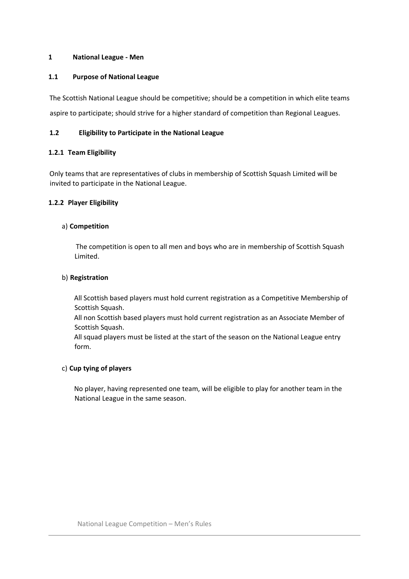## **1 National League - Men**

## **1.1 Purpose of National League**

The Scottish National League should be competitive; should be a competition in which elite teams aspire to participate; should strive for a higher standard of competition than Regional Leagues.

## **1.2 Eligibility to Participate in the National League**

## **1.2.1 Team Eligibility**

Only teams that are representatives of clubs in membership of Scottish Squash Limited will be invited to participate in the National League.

## **1.2.2 Player Eligibility**

## a) **Competition**

The competition is open to all men and boys who are in membership of Scottish Squash Limited.

#### b) **Registration**

All Scottish based players must hold current registration as a Competitive Membership of Scottish Squash.

All non Scottish based players must hold current registration as an Associate Member of Scottish Squash.

All squad players must be listed at the start of the season on the National League entry form.

# c) **Cup tying of players**

No player, having represented one team, will be eligible to play for another team in the National League in the same season.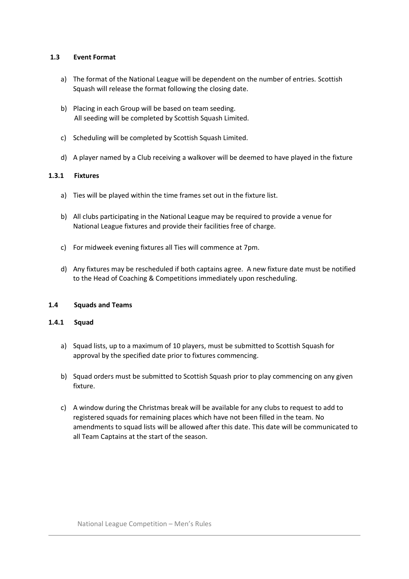## **1.3 Event Format**

- a) The format of the National League will be dependent on the number of entries. Scottish Squash will release the format following the closing date.
- b) Placing in each Group will be based on team seeding. All seeding will be completed by Scottish Squash Limited.
- c) Scheduling will be completed by Scottish Squash Limited.
- d) A player named by a Club receiving a walkover will be deemed to have played in the fixture

## **1.3.1 Fixtures**

- a) Ties will be played within the time frames set out in the fixture list.
- b) All clubs participating in the National League may be required to provide a venue for National League fixtures and provide their facilities free of charge.
- c) For midweek evening fixtures all Ties will commence at 7pm.
- d) Any fixtures may be rescheduled if both captains agree. A new fixture date must be notified to the Head of Coaching & Competitions immediately upon rescheduling.

#### **1.4 Squads and Teams**

#### **1.4.1 Squad**

- a) Squad lists, up to a maximum of 10 players, must be submitted to Scottish Squash for approval by the specified date prior to fixtures commencing.
- b) Squad orders must be submitted to Scottish Squash prior to play commencing on any given fixture.
- c) A window during the Christmas break will be available for any clubs to request to add to registered squads for remaining places which have not been filled in the team. No amendments to squad lists will be allowed after this date. This date will be communicated to all Team Captains at the start of the season.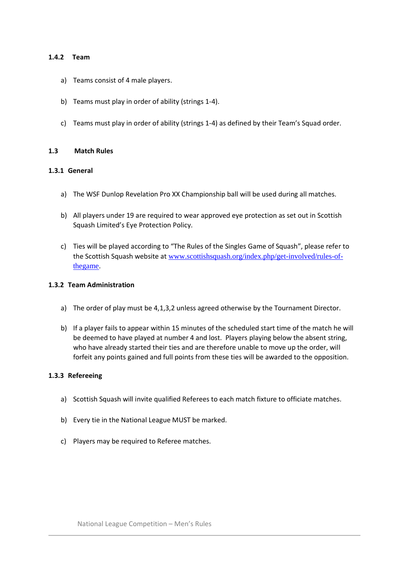#### **1.4.2 Team**

- a) Teams consist of 4 male players.
- b) Teams must play in order of ability (strings 1-4).
- c) Teams must play in order of ability (strings 1-4) as defined by their Team's Squad order.

## **1.3 Match Rules**

## **1.3.1 General**

- a) The WSF Dunlop Revelation Pro XX Championship ball will be used during all matches.
- b) All players under 19 are required to wear approved eye protection as set out in Scottish Squash Limited's Eye Protection Policy.
- c) Ties will be played according to "The Rules of the Singles Game of Squash", please refer to the Scottish Squash website at [www.scottishsquash.org/index.php/get-involved/rules-of](http://www.scottishsquash.org/index.php/get-involved/rules-of-the-game)[thegame](http://www.scottishsquash.org/index.php/get-involved/rules-of-the-game)[.](http://www.scottishsquash.org/index.php/get-involved/rules-of-the-game)

## **1.3.2 Team Administration**

- a) The order of play must be 4,1,3,2 unless agreed otherwise by the Tournament Director.
- b) If a player fails to appear within 15 minutes of the scheduled start time of the match he will be deemed to have played at number 4 and lost. Players playing below the absent string, who have already started their ties and are therefore unable to move up the order, will forfeit any points gained and full points from these ties will be awarded to the opposition.

#### **1.3.3 Refereeing**

- a) Scottish Squash will invite qualified Referees to each match fixture to officiate matches.
- b) Every tie in the National League MUST be marked.
- c) Players may be required to Referee matches.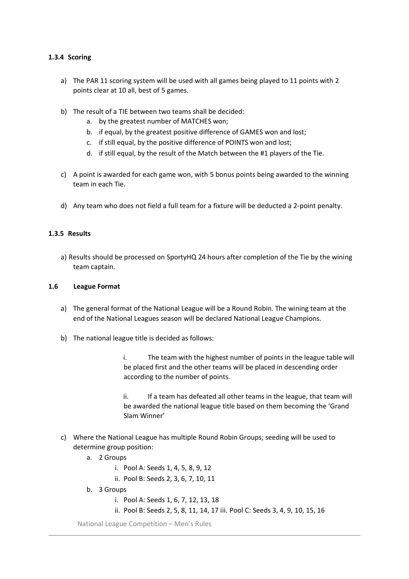#### **1.3.4 Scoring**

- a) The PAR 11 scoring system will be used with all games being played to 11 points with 2 points clear at 10 all, best of 5 games.
- b) The result of a TIE between two teams shall be decided:
	- a. by the greatest number of MATCHES won;
	- b. if equal, by the greatest positive difference of GAMES won and lost;
	- c. if still equal, by the positive difference of POINTS won and lost;
	- d. if still equal, by the result of the Match between the #1 players of the Tie.
- c) A point is awarded for each game won, with 5 bonus points being awarded to the winning team in each Tie.
- d) Any team who does not field a full team for a fixture will be deducted a 2-point penalty.

#### **1.3.5 Results**

a) Results should be processed on SportyHQ 24 hours after completion of the Tie by the wining team captain.

#### **1.6 League Format**

- a) The general format of the National League will be a Round Robin. The wining team at the end of the National Leagues season will be declared National League Champions.
- b) The national league title is decided as follows:

i. The team with the highest number of points in the league table will be placed first and the other teams will be placed in descending order according to the number of points.

ii. If a team has defeated all other teams in the league, that team will be awarded the national league title based on them becoming the 'Grand Slam Winner'

- c) Where the National League has multiple Round Robin Groups; seeding will be used to determine group position:
	- a. 2 Groups
		- i. Pool A: Seeds 1, 4, 5, 8, 9, 12
		- ii. Pool B: Seeds 2, 3, 6, 7, 10, 11
	- b. 3 Groups
		- i. Pool A: Seeds 1, 6, 7, 12, 13, 18
		- ii. Pool B: Seeds 2, 5, 8, 11, 14, 17 iii. Pool C: Seeds 3, 4, 9, 10, 15, 16

National League Competition – Men's Rules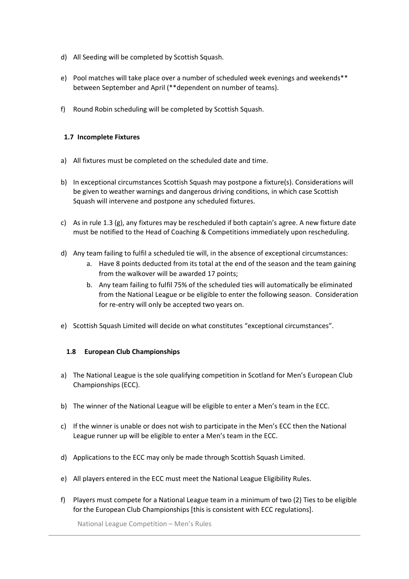- d) All Seeding will be completed by Scottish Squash.
- e) Pool matches will take place over a number of scheduled week evenings and weekends\*\* between September and April (\*\*dependent on number of teams).
- f) Round Robin scheduling will be completed by Scottish Squash.

# **1.7 Incomplete Fixtures**

- a) All fixtures must be completed on the scheduled date and time.
- b) In exceptional circumstances Scottish Squash may postpone a fixture(s). Considerations will be given to weather warnings and dangerous driving conditions, in which case Scottish Squash will intervene and postpone any scheduled fixtures.
- c) As in rule 1.3 (g), any fixtures may be rescheduled if both captain's agree. A new fixture date must be notified to the Head of Coaching & Competitions immediately upon rescheduling.
- d) Any team failing to fulfil a scheduled tie will, in the absence of exceptional circumstances:
	- a. Have 8 points deducted from its total at the end of the season and the team gaining from the walkover will be awarded 17 points;
	- b. Any team failing to fulfil 75% of the scheduled ties will automatically be eliminated from the National League or be eligible to enter the following season. Consideration for re-entry will only be accepted two years on.
- e) Scottish Squash Limited will decide on what constitutes "exceptional circumstances".

# **1.8 European Club Championships**

- a) The National League is the sole qualifying competition in Scotland for Men's European Club Championships (ECC).
- b) The winner of the National League will be eligible to enter a Men's team in the ECC.
- c) If the winner is unable or does not wish to participate in the Men's ECC then the National League runner up will be eligible to enter a Men's team in the ECC.
- d) Applications to the ECC may only be made through Scottish Squash Limited.
- e) All players entered in the ECC must meet the National League Eligibility Rules.
- f) Players must compete for a National League team in a minimum of two (2) Ties to be eligible for the European Club Championships [this is consistent with ECC regulations].

National League Competition – Men's Rules